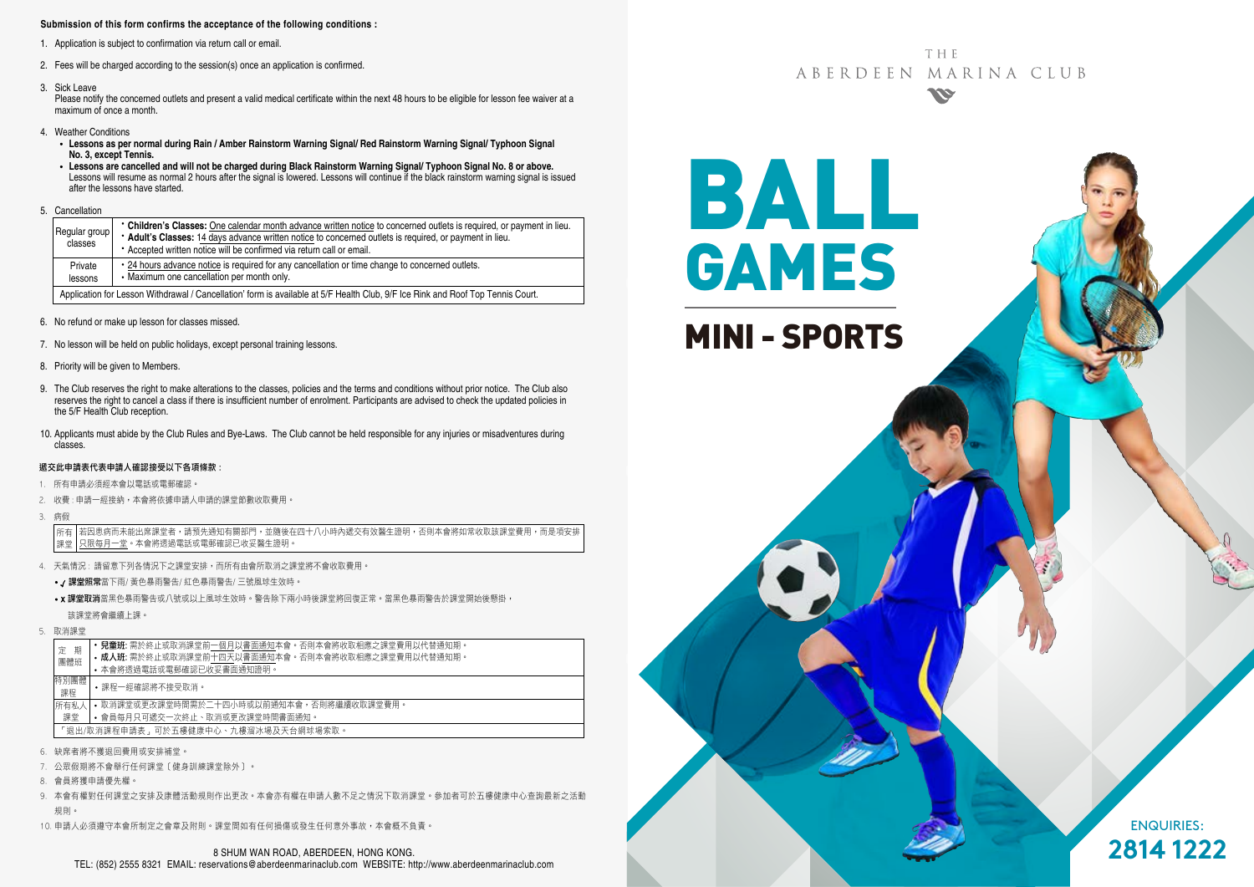#### **Submission of this form confirms the acceptance of the following conditions :**

- 1. Application is subject to confirmation via return call or email.
- 2. Fees will be charged according to the session(s) once an application is confirmed.
- 3. Sick Leave

Please notify the concerned outlets and present a valid medical certificate within the next 48 hours to be eligible for lesson fee waiver at a maximum of once a month.

- 4. Weather Conditions
	- **Lessons as per normal during Rain / Amber Rainstorm Warning Signal/ Red Rainstorm Warning Signal/ Typhoon Signal No. 3, except Tennis.**
	- **Lessons are cancelled and will not be charged during Black Rainstorm Warning Signal/ Typhoon Signal No. 8 or above.** Lessons will resume as normal 2 hours after the signal is lowered. Lessons will continue if the black rainstorm warning signal is issued after the lessons have started.
- 5. Cancellation

| Regular group<br>classes                                                                                                        | • Children's Classes: One calendar month advance written notice to concerned outlets is required, or payment in lieu.<br>* Adult's Classes: 14 days advance written notice to concerned outlets is required, or payment in lieu.<br>• Accepted written notice will be confirmed via return call or email. |  |  |  |  |  |
|---------------------------------------------------------------------------------------------------------------------------------|-----------------------------------------------------------------------------------------------------------------------------------------------------------------------------------------------------------------------------------------------------------------------------------------------------------|--|--|--|--|--|
| Private<br>lessons                                                                                                              | • 24 hours advance notice is required for any cancellation or time change to concerned outlets.<br>• Maximum one cancellation per month only.                                                                                                                                                             |  |  |  |  |  |
| Application for Lesson Withdrawal / Cancellation' form is available at 5/F Health Club, 9/F Ice Rink and Roof Top Tennis Court. |                                                                                                                                                                                                                                                                                                           |  |  |  |  |  |

- 6. No refund or make up lesson for classes missed.
- 7. No lesson will be held on public holidays, except personal training lessons.
- 8. Priority will be given to Members.
- 9. The Club reserves the right to make alterations to the classes, policies and the terms and conditions without prior notice. The Club also reserves the right to cancel a class if there is insufficient number of enrolment. Participants are advised to check the updated policies in the 5/F Health Club reception.
- 10. Applicants must abide by the Club Rules and Bye-Laws. The Club cannot be held responsible for any injuries or misadventures during classes.

#### 遞交此申請表代表申請人確認接受以下各項條款 :

- 1. 所有申請必須經本會以電話或電郵確認。
- 2. 收費: 申請一經接納, 本會將依據申請人申請的課堂節數收取費用,
- 3. 病假

若因患病而未能出席課堂者,請預先通知有關部門,並隨後在四十八小時內遞交有效醫生證明,否則本會將如常收取該課堂費用,而是項安排 只限每月一堂。本會將透過電話或電郵確認已收妥醫生證明。 所有 課堂

- 4. 天氣情況 : 請留意下列各情況下之課堂安排,而所有由會所取消之課堂將不會收取費用。
	- / 課堂照常當下雨/ 黃色暴雨警告/ 紅色暴雨警告/ 三號風球生效時。
	- x 課堂取消當黑色暴雨警告或八號或以上風球生效時。警告除下兩小時後課堂將回復正常。當黑色暴雨警告於課堂開始後懸掛, 該課堂將會繼續上課。
- 5. 取消課堂

|                                     | 期<br>定                              | <b>兒童班:</b> 需於終止或取消課堂前一個月以書面通知本會。否則本會將收取相應之課堂費用以代替通知期。 |  |  |  |  |  |  |
|-------------------------------------|-------------------------------------|--------------------------------------------------------|--|--|--|--|--|--|
|                                     | 團體班                                 | • 成人班: 需於終止或取消課堂前十四天以書面通知本會。否則本會將收取相應之課堂費用以代替通知期。      |  |  |  |  |  |  |
|                                     |                                     | • 本會將诱過電話或電郵確認已收妥書面通知證明。                               |  |  |  |  |  |  |
| 特別團體<br>•課程一經確認將不接受取消。<br>課程        |                                     |                                                        |  |  |  |  |  |  |
|                                     | 所有私人                                | • 取消課堂或更改課堂時間需於二十四小時或以前捅知本會,否則將繼續收取課堂費用。               |  |  |  |  |  |  |
| • 會員每月只可遞交一次終止、取消或更改課堂時間書面通知。<br>課堂 |                                     |                                                        |  |  |  |  |  |  |
|                                     | 「狠出/取消課程申請表,可於五樓健康中心、九樓溜冰場及天台網球場索取。 |                                                        |  |  |  |  |  |  |
|                                     |                                     |                                                        |  |  |  |  |  |  |

- 6. 缺席者將不獲退回費用或安排補堂。
- 7. 公眾假期將不會舉行任何課堂﹝健身訓練課堂除外﹞。
- 8. 會員將獲申請優先權。
- 9. 本會有權對任何課堂之安排及康體活動規則作出更改。本會亦有權在申請人數不足之情況下取消課堂。參加者可於五樓健康中心查詢最新之活動 規則。
- 10. 申請人必須遵守本會所制定之會章及附則。課堂間如有任何損傷或發生任何意外事故,本會概不負責。